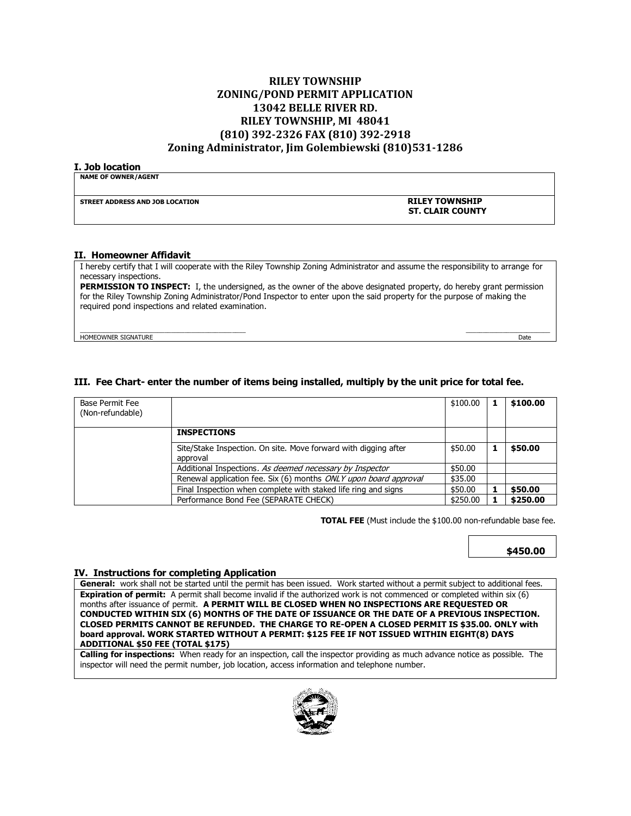### **RILEY TOWNSHIP ZONING/POND PERMIT APPLICATION 13042 BELLE RIVER RD. RILEY TOWNSHIP, MI 48041 (810) 392-2326 FAX (810) 392-2918 Zoning Administrator, Jim Golembiewski (810)531-1286**

#### **I. Job location**

| <b>NAME OF OWNER/AGENT</b>      |                         |
|---------------------------------|-------------------------|
| STREET ADDRESS AND JOB LOCATION | <b>RILEY TOWNSHIP</b>   |
|                                 | <b>ST. CLAIR COUNTY</b> |
|                                 |                         |

#### **II. Homeowner Affidavit**

I hereby certify that I will cooperate with the Riley Township Zoning Administrator and assume the responsibility to arrange for necessary inspections.

**PERMISSION TO INSPECT:** I, the undersigned, as the owner of the above designated property, do hereby grant permission for the Riley Township Zoning Administrator/Pond Inspector to enter upon the said property for the purpose of making the required pond inspections and related examination.

 $\mathcal{L}=\mathcal{L}=\mathcal{L}=\mathcal{L}=\mathcal{L}=\mathcal{L}=\mathcal{L}=\mathcal{L}=\mathcal{L}=\mathcal{L}=\mathcal{L}=\mathcal{L}=\mathcal{L}=\mathcal{L}=\mathcal{L}=\mathcal{L}=\mathcal{L}=\mathcal{L}=\mathcal{L}=\mathcal{L}=\mathcal{L}=\mathcal{L}=\mathcal{L}=\mathcal{L}=\mathcal{L}=\mathcal{L}=\mathcal{L}=\mathcal{L}=\mathcal{L}=\mathcal{L}=\mathcal{L}=\mathcal{L}=\mathcal{L}=\mathcal{L}=\mathcal{L}=\mathcal{L}=\mathcal{$ HOMEOWNER SIGNATURE Date by the control of the control of the control of the control of the control of the control of the control of the control of the control of the control of the control of the control of the control of

### **III. Fee Chart- enter the number of items being installed, multiply by the unit price for total fee.**

| Base Permit Fee<br>(Non-refundable) |                                                                             | \$100.00 | \$100.00 |
|-------------------------------------|-----------------------------------------------------------------------------|----------|----------|
|                                     | <b>INSPECTIONS</b>                                                          |          |          |
|                                     | Site/Stake Inspection. On site. Move forward with digging after<br>approval | \$50.00  | \$50.00  |
|                                     | Additional Inspections. As deemed necessary by Inspector                    | \$50.00  |          |
|                                     | Renewal application fee. Six (6) months ONLY upon board approval            | \$35.00  |          |
|                                     | Final Inspection when complete with staked life ring and signs              | \$50.00  | \$50.00  |
|                                     | Performance Bond Fee (SEPARATE CHECK)                                       | \$250.00 | \$250.00 |

 **TOTAL FEE** (Must include the \$100.00 non-refundable base fee.

 **\$450.00**

### **IV. Instructions for completing Application**

**General:** work shall not be started until the permit has been issued. Work started without a permit subject to additional fees. **Expiration of permit:** A permit shall become invalid if the authorized work is not commenced or completed within six (6) months after issuance of permit. **A PERMIT WILL BE CLOSED WHEN NO INSPECTIONS ARE REQUESTED OR CONDUCTED WITHIN SIX (6) MONTHS OF THE DATE OF ISSUANCE OR THE DATE OF A PREVIOUS INSPECTION. CLOSED PERMITS CANNOT BE REFUNDED. THE CHARGE TO RE-OPEN A CLOSED PERMIT IS \$35.00. ONLY with board approval. WORK STARTED WITHOUT A PERMIT: \$125 FEE IF NOT ISSUED WITHIN EIGHT(8) DAYS ADDITIONAL \$50 FEE (TOTAL \$175)** 

**Calling for inspections:** When ready for an inspection, call the inspector providing as much advance notice as possible. The inspector will need the permit number, job location, access information and telephone number.

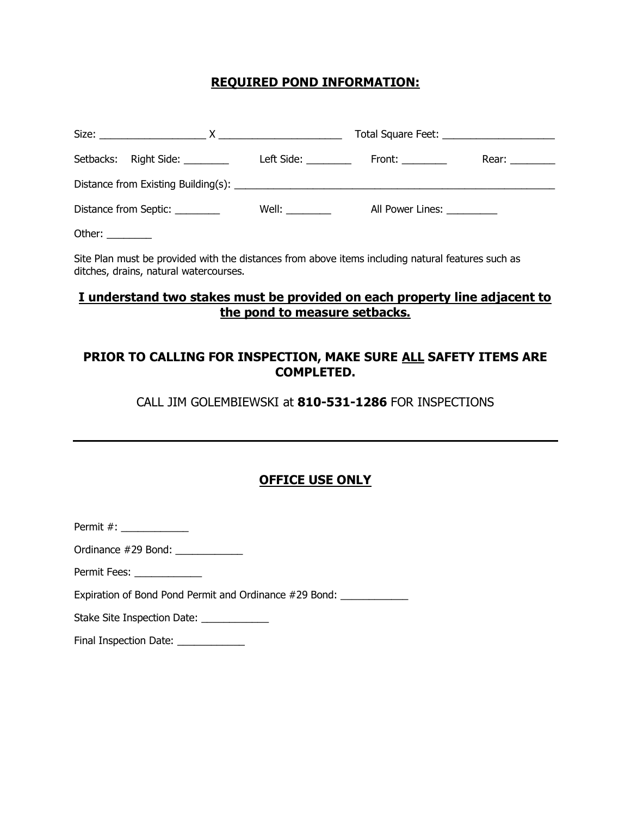## **REQUIRED POND INFORMATION:**

|                  |                                 |                   | Total Square Feet: _______________________ |                |
|------------------|---------------------------------|-------------------|--------------------------------------------|----------------|
|                  | Setbacks: Right Side: _________ |                   | Left Side: ___________  Front: _________   | Rear: ________ |
|                  |                                 |                   |                                            |                |
|                  | Distance from Septic: _________ | Well: <b>Well</b> | All Power Lines: __________                |                |
| Other: _________ |                                 |                   |                                            |                |

Site Plan must be provided with the distances from above items including natural features such as ditches, drains, natural watercourses.

### **I understand two stakes must be provided on each property line adjacent to the pond to measure setbacks.**

## **PRIOR TO CALLING FOR INSPECTION, MAKE SURE ALL SAFETY ITEMS ARE COMPLETED.**

CALL JIM GOLEMBIEWSKI at **810-531-1286** FOR INSPECTIONS

# **OFFICE USE ONLY**

Permit #: \_\_\_\_\_\_\_\_\_\_\_\_

Ordinance #29 Bond: \_\_\_\_\_\_\_\_\_\_\_\_

Permit Fees: \_\_\_\_\_\_\_\_\_\_\_\_\_\_

Expiration of Bond Pond Permit and Ordinance #29 Bond: \_\_\_\_\_\_\_\_\_\_\_\_\_\_

Stake Site Inspection Date: \_\_\_\_\_\_\_\_\_\_\_\_\_\_

Final Inspection Date: \_\_\_\_\_\_\_\_\_\_\_\_